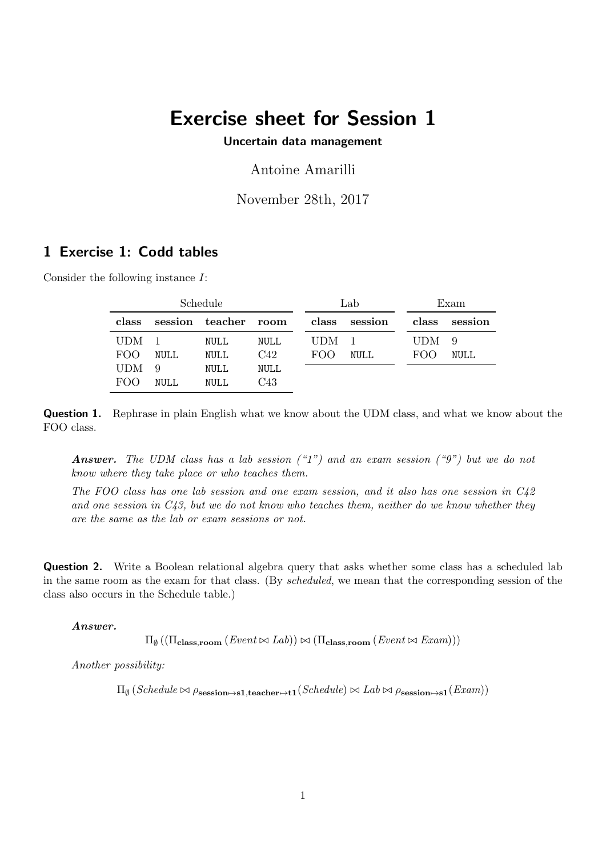# Exercise sheet for Session 1

Uncertain data management

Antoine Amarilli

November 28th, 2017

## 1 Exercise 1: Codd tables

Consider the following instance I:

| Schedule         |             |                      | Lab  |       | Exam          |       |         |
|------------------|-------------|----------------------|------|-------|---------------|-------|---------|
| class            |             | session teacher room |      |       | class session | class | session |
| UDM <sub>1</sub> |             | NULL                 | NULL | UDM - |               | UDM-  | - 9     |
| FOO              | NULL        | NULL                 | C42  | FOO   | <b>NULL</b>   | FOO   | NULL    |
| <b>UDM</b>       | 9           | NULL                 | NULL |       |               |       |         |
| FOO              | <b>NULL</b> | NULL.                | C43  |       |               |       |         |

**Question 1.** Rephrase in plain English what we know about the UDM class, and what we know about the FOO class.

**Answer.** The UDM class has a lab session  $(47)$  and an exam session  $(49)$  but we do not know where they take place or who teaches them.

The FOO class has one lab session and one exam session, and it also has one session in C42 and one session in  $C<sub>43</sub>$ , but we do not know who teaches them, neither do we know whether they are the same as the lab or exam sessions or not.

**Question 2.** Write a Boolean relational algebra query that asks whether some class has a scheduled lab in the same room as the exam for that class. (By scheduled, we mean that the corresponding session of the class also occurs in the Schedule table.)

#### Answer.

 $\Pi_{\emptyset}((\Pi_{\textbf{class},\textbf{room}}(Event \bowtie Lab)) \bowtie (\Pi_{\textbf{class},\textbf{room}}(Event \bowtie Exam)))$ 

Another possibility:

 $\Pi_{\emptyset}$  (Schedule  $\bowtie$   $\rho_{\textbf{session}\mapsto\textbf{sl},\textbf{teacher}\mapsto\textbf{tl}}(Schedule) \bowtie Lab \bowtie \rho_{\textbf{session}\mapsto\textbf{sl}}(Exam) )$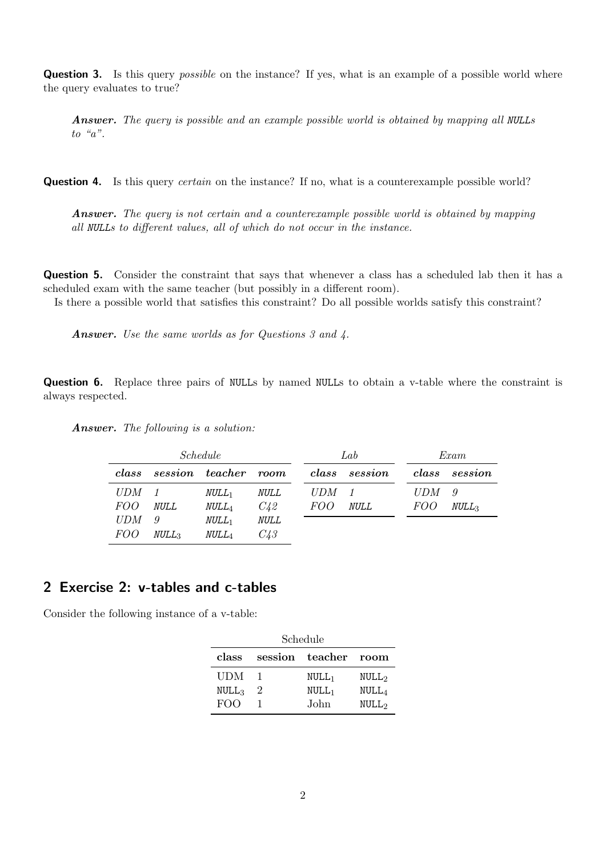**Question 3.** Is this query *possible* on the instance? If yes, what is an example of a possible world where the query evaluates to true?

Answer. The query is possible and an example possible world is obtained by mapping all NULLs to " $a$ ".

**Question 4.** Is this query *certain* on the instance? If no, what is a counterexample possible world?

Answer. The query is not certain and a counterexample possible world is obtained by mapping all NULLs to different values, all of which do not occur in the instance.

Question 5. Consider the constraint that says that whenever a class has a scheduled lab then it has a scheduled exam with the same teacher (but possibly in a different room).

Is there a possible world that satisfies this constraint? Do all possible worlds satisfy this constraint?

Answer. Use the same worlds as for Questions 3 and 4.

Question 6. Replace three pairs of NULLs by named NULLs to obtain a v-table where the constraint is always respected.

Answer. The following is a solution:

| <i>Schedule</i> |                   |                      |             | Lab        |               | Exam       |                   |
|-----------------|-------------------|----------------------|-------------|------------|---------------|------------|-------------------|
| class           |                   | session teacher room |             |            | class session | class      | session           |
| <i>UDM</i>      |                   | $NULL_1$             | <i>NULL</i> | UDM 1      |               | <b>UDM</b> | $\overline{g}$    |
| <i>FOO</i>      | <b>NULL</b>       | $\mathit{NULL}_4$    | C42         | <i>FOO</i> | <i>NULL</i>   | <i>FOO</i> | NULL <sub>3</sub> |
| <b>UDM</b>      | 9                 | $NULL_1$             | <i>NULL</i> |            |               |            |                   |
| <i>FOO</i>      | NULL <sub>3</sub> | $\mathit{NULL}_4$    | C43         |            |               |            |                   |

### 2 Exercise 2: v-tables and c-tables

Consider the following instance of a v-table:

| Schedule          |                |                      |                   |  |  |  |
|-------------------|----------------|----------------------|-------------------|--|--|--|
| class             |                | session teacher room |                   |  |  |  |
| <b>UDM</b>        |                | $NULL_1$             | NULL <sub>2</sub> |  |  |  |
| NULL <sub>3</sub> | $\overline{2}$ | $NULL_1$             | NULL <sub>4</sub> |  |  |  |
| FOO               |                | John                 | NULL <sub>2</sub> |  |  |  |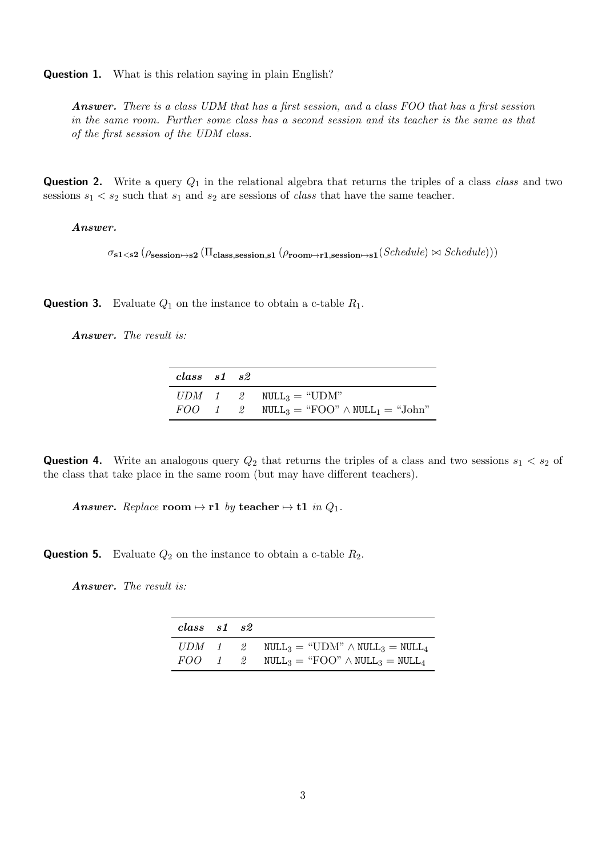Question 1. What is this relation saying in plain English?

Answer. There is a class UDM that has a first session, and a class FOO that has a first session in the same room. Further some class has a second session and its teacher is the same as that of the first session of the UDM class.

**Question 2.** Write a query  $Q_1$  in the relational algebra that returns the triples of a class class and two sessions  $s_1 < s_2$  such that  $s_1$  and  $s_2$  are sessions of *class* that have the same teacher.

#### Answer.

 $\sigma_{s1\leq s2}$  ( $\rho_{session\rightarrow s2}$  ( $\Pi_{class,session,s1}$  ( $\rho_{room\rightarrow r1,session\rightarrow s1}(Schedule) \bowtie Schedule))$ )

**Question 3.** Evaluate  $Q_1$  on the instance to obtain a c-table  $R_1$ .

Answer. The result is:

| $\,class\quad s1\quad s2$ |  |                                                                                                   |
|---------------------------|--|---------------------------------------------------------------------------------------------------|
|                           |  | $UDM$ 1 2 $NULL_3 = "UDM"$                                                                        |
|                           |  | $FOO \quad 1 \quad 2 \quad \text{NULL}_3 = \text{``FOO''} \wedge \text{NULL}_1 = \text{``John''}$ |

**Question 4.** Write an analogous query  $Q_2$  that returns the triples of a class and two sessions  $s_1 < s_2$  of the class that take place in the same room (but may have different teachers).

Answer. Replace room  $\mapsto$  r1 by teacher  $\mapsto$  t1 in  $Q_1$ .

**Question 5.** Evaluate  $Q_2$  on the instance to obtain a c-table  $R_2$ .

Answer. The result is:

| $class$ $s1$ $s2$ |  |                                                                                                 |
|-------------------|--|-------------------------------------------------------------------------------------------------|
|                   |  | $UDM$ 1 2 NULL <sub>3</sub> = "UDM" $\land$ NULL <sub>3</sub> = NULL <sub>4</sub>               |
|                   |  | $FOO \quad 1 \quad 2 \quad \text{NULL}_3 = \text{``FOO''} \wedge \text{NULL}_3 = \text{NULL}_4$ |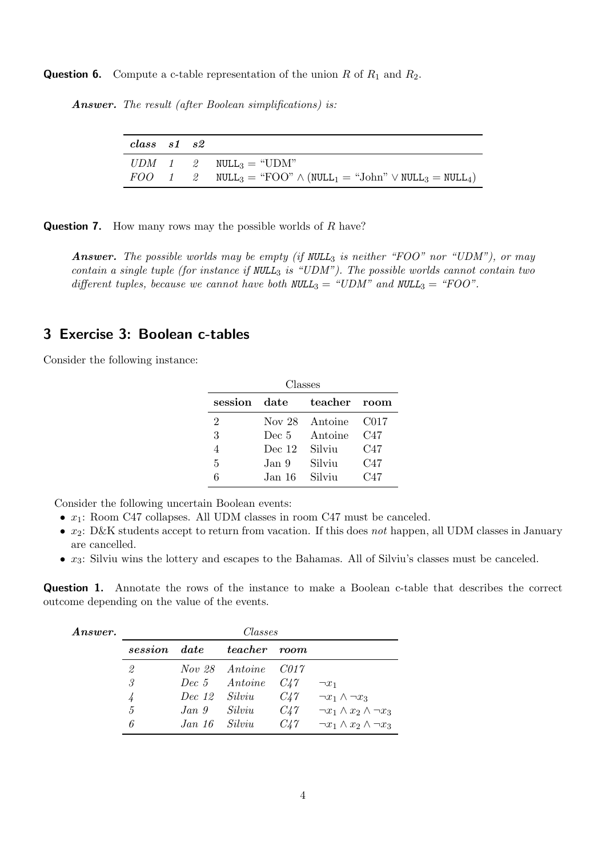**Question 6.** Compute a c-table representation of the union R of  $R_1$  and  $R_2$ .

Answer. The result (after Boolean simplifications) is:

| $class$ $s1$ $s2$ |  |                                                                                                                                        |
|-------------------|--|----------------------------------------------------------------------------------------------------------------------------------------|
|                   |  | $UDM$ 1 2 $NULL_3 = "UDM"$                                                                                                             |
|                   |  | $FOO \quad 1 \quad 2 \quad \text{NULL}_3 = \text{``FOO''} \wedge (\text{NULL}_1 = \text{``John''} \vee \text{NULL}_3 = \text{NULL}_4)$ |

**Question 7.** How many rows may the possible worlds of  $R$  have?

**Answer.** The possible worlds may be empty (if  $NULL_3$  is neither "FOO" nor "UDM"), or may contain a single tuple (for instance if  $NULL_3$  is "UDM"). The possible worlds cannot contain two different tuples, because we cannot have both  $NULL_3 = "UDM"$  and  $NULL_3 = "FOO".$ 

### 3 Exercise 3: Boolean c-tables

Consider the following instance:

| Classes      |          |         |                   |  |  |  |
|--------------|----------|---------|-------------------|--|--|--|
| session      | date     | teacher | room              |  |  |  |
| 2            | Nov 28   | Antoine | C <sub>0</sub> 17 |  |  |  |
| 3            | Dec 5    | Antoine | C47               |  |  |  |
|              | Dec $12$ | Silviu  | C47               |  |  |  |
| $\mathbf{5}$ | Jan 9    | Silviu  | C47               |  |  |  |
|              | Jan 16   | Silviu  | C47               |  |  |  |

Consider the following uncertain Boolean events:

- $x_1$ : Room C47 collapses. All UDM classes in room C47 must be canceled.
- $x_2$ : D&K students accept to return from vacation. If this does not happen, all UDM classes in January are cancelled.
- $x_3$ : Silviu wins the lottery and escapes to the Bahamas. All of Silviu's classes must be canceled.

Question 1. Annotate the rows of the instance to make a Boolean c-table that describes the correct outcome depending on the value of the events.

| Answer. |              | Classes       |                          |          |                                       |  |  |
|---------|--------------|---------------|--------------------------|----------|---------------------------------------|--|--|
|         | session date |               | <i>teacher room</i>      |          |                                       |  |  |
|         | 2            |               | Nov 28 Antoine C017      |          |                                       |  |  |
|         | 3.           |               | $Dec\ 5$ Antoine $C_4$ 7 |          | $\neg x_1$                            |  |  |
|         |              | Dec 12 Silviu |                          | $C_{4}7$ | $\neg x_1 \wedge \neg x_3$            |  |  |
|         | $\mathbf{5}$ | Jan 9 Silviu  |                          | $C_{4}7$ | $\neg x_1 \wedge x_2 \wedge \neg x_3$ |  |  |
|         | 6            | Jan 16 Silviu |                          | C47      | $\neg x_1 \wedge x_2 \wedge \neg x_3$ |  |  |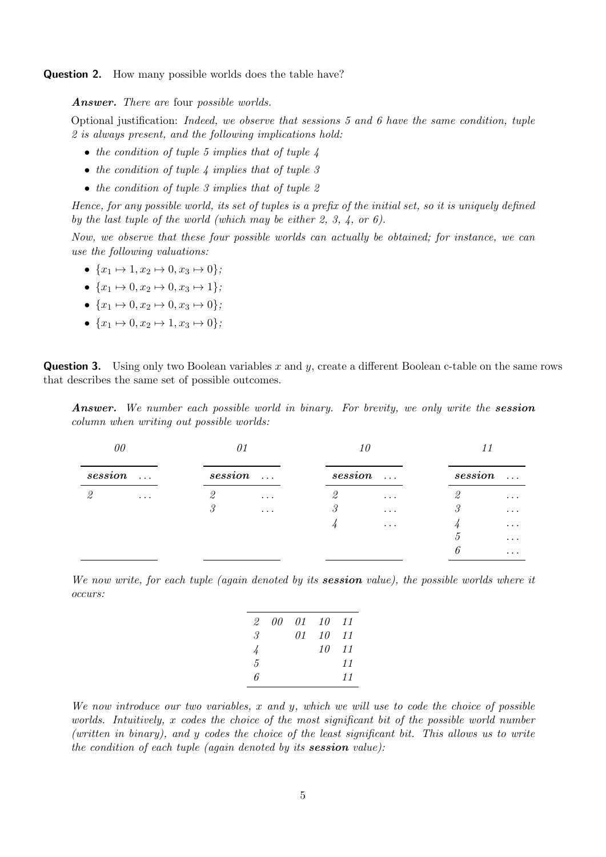**Question 2.** How many possible worlds does the table have?

Answer. There are four possible worlds.

Optional justification: Indeed, we observe that sessions 5 and 6 have the same condition, tuple 2 is always present, and the following implications hold:

- the condition of tuple 5 implies that of tuple  $\lambda$
- the condition of tuple 4 implies that of tuple 3
- the condition of tuple 3 implies that of tuple  $2$

Hence, for any possible world, its set of tuples is a prefix of the initial set, so it is uniquely defined by the last tuple of the world (which may be either 2, 3, 4, or 6).

Now, we observe that these four possible worlds can actually be obtained; for instance, we can use the following valuations:

- $\{x_1 \mapsto 1, x_2 \mapsto 0, x_3 \mapsto 0\}$ :
- $\{x_1 \mapsto 0, x_2 \mapsto 0, x_3 \mapsto 1\}$ ;
- $\{x_1 \mapsto 0, x_2 \mapsto 0, x_3 \mapsto 0\};$
- $\{x_1 \mapsto 0, x_2 \mapsto 1, x_3 \mapsto 0\};$

**Question 3.** Using only two Boolean variables x and y, create a different Boolean c-table on the same rows that describes the same set of possible outcomes.

**Answer.** We number each possible world in binary. For brevity, we only write the session column when writing out possible worlds:

| 00      |          | 01      |              | 10      |          |                             |                      |
|---------|----------|---------|--------------|---------|----------|-----------------------------|----------------------|
| session | $\ldots$ | session | $\sim 100$ . | session | $\ldots$ | session                     | $\sim$ $\sim$ $\sim$ |
|         | $\cdots$ | 2       | $\cdots$     | 2       | $\cdots$ | ↩                           | $\cdots$             |
|         |          | 3       | $\cdots$     | 3       | $\cdots$ | $\mathcal{S}_{\mathcal{S}}$ | $\cdots$             |
|         |          |         |              |         | $\cdots$ |                             | $\cdots$             |
|         |          |         |              |         |          | Ð                           | $\cdots$             |
|         |          |         |              |         |          | 6                           | $\cdots$             |
|         |          |         |              |         |          |                             |                      |

We now write, for each tuple (again denoted by its **session** value), the possible worlds where it occurs:

| 2  | 00 | 01 | - 10 | -11 |
|----|----|----|------|-----|
| 3. |    | 01 | 10   | -11 |
|    |    |    | 10   | 11  |
| 5  |    |    |      | 11  |
| ĥ  |    |    |      | 11  |

We now introduce our two variables,  $x$  and  $y$ , which we will use to code the choice of possible worlds. Intuitively, x codes the choice of the most significant bit of the possible world number (written in binary), and y codes the choice of the least significant bit. This allows us to write the condition of each tuple (again denoted by its session value):